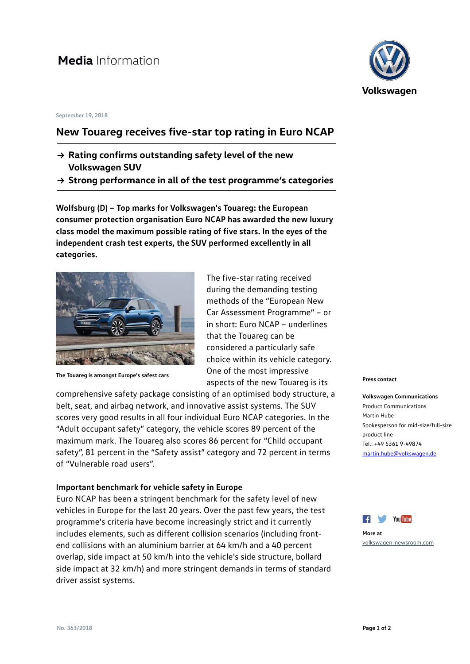# Media Information

#### **September 19, 2018**

## **New Touareg receives five-star top rating in Euro NCAP**

- **→ Rating confirms outstanding safety level of the new Volkswagen SUV**
- **→ Strong performance in all of the test programme's categories**

**Wolfsburg (D) – Top marks for Volkswagen's Touareg: the European consumer protection organisation Euro NCAP has awarded the new luxury class model the maximum possible rating of five stars. In the eyes of the independent crash test experts, the SUV performed excellently in all categories.**



**The Touareg is amongst Europe's safest cars**

The five-star rating received during the demanding testing methods of the "European New Car Assessment Programme" – or in short: Euro NCAP – underlines that the Touareg can be considered a particularly safe choice within its vehicle category. One of the most impressive aspects of the new Touareg is its

comprehensive safety package consisting of an optimised body structure, a belt, seat, and airbag network, and innovative assist systems. The SUV scores very good results in all four individual Euro NCAP categories. In the "Adult occupant safety" category, the vehicle scores 89 percent of the maximum mark. The Touareg also scores 86 percent for "Child occupant safety", 81 percent in the "Safety assist" category and 72 percent in terms of "Vulnerable road users".

### **Important benchmark for vehicle safety in Europe**

Euro NCAP has been a stringent benchmark for the safety level of new vehicles in Europe for the last 20 years. Over the past few years, the test programme's criteria have become increasingly strict and it currently includes elements, such as different collision scenarios (including frontend collisions with an aluminium barrier at 64 km/h and a 40 percent overlap, side impact at 50 km/h into the vehicle's side structure, bollard side impact at 32 km/h) and more stringent demands in terms of standard driver assist systems.



#### **Press contact**

**Volkswagen Communications** Product Communications Martin Hube Spokesperson for mid-size/full-size product line Tel.: +49 5361 9-49874 [martin.hube@volkswagen.de](mailto:martin.hube@volkswagen.de)